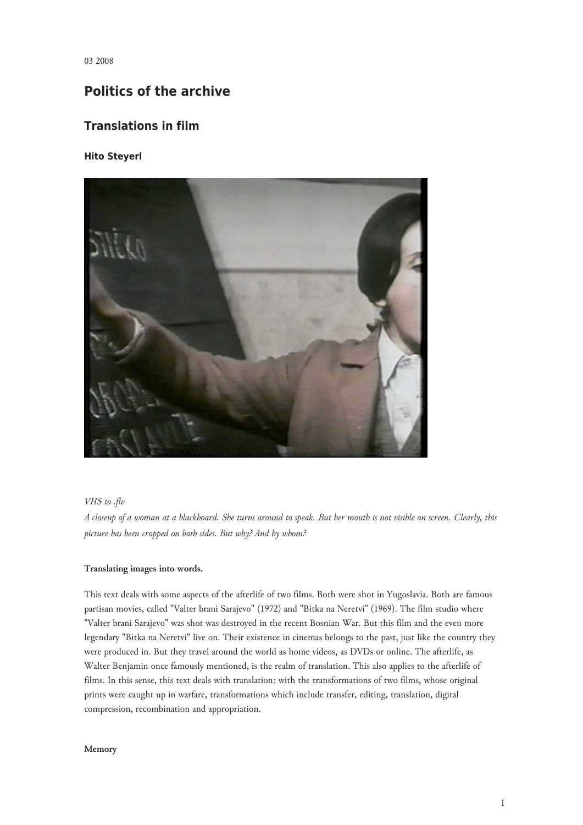03 2008

# **Politics of the archive**

# **Translations in film**

## **Hito Steyerl**



## *VHS to .flv*

*A closeup of a woman at a blackboard. She turns around to speak. But her mouth is not visible on screen. Clearly, this picture has been cropped on both sides. But why? And by whom?*

## **Translating images into words.**

This text deals with some aspects of the afterlife of two films. Both were shot in Yugoslavia. Both are famous partisan movies, called "Valter brani Sarajevo" (1972) and "Bitka na Neretvi" (1969). The film studio where "Valter brani Sarajevo" was shot was destroyed in the recent Bosnian War. But this film and the even more legendary "Bitka na Neretvi" live on. Their existence in cinemas belongs to the past, just like the country they were produced in. But they travel around the world as home videos, as DVDs or online. The afterlife, as Walter Benjamin once famously mentioned, is the realm of translation. This also applies to the afterlife of films. In this sense, this text deals with translation: with the transformations of two films, whose original prints were caught up in warfare, transformations which include transfer, editing, translation, digital compression, recombination and appropriation.

#### **Memory**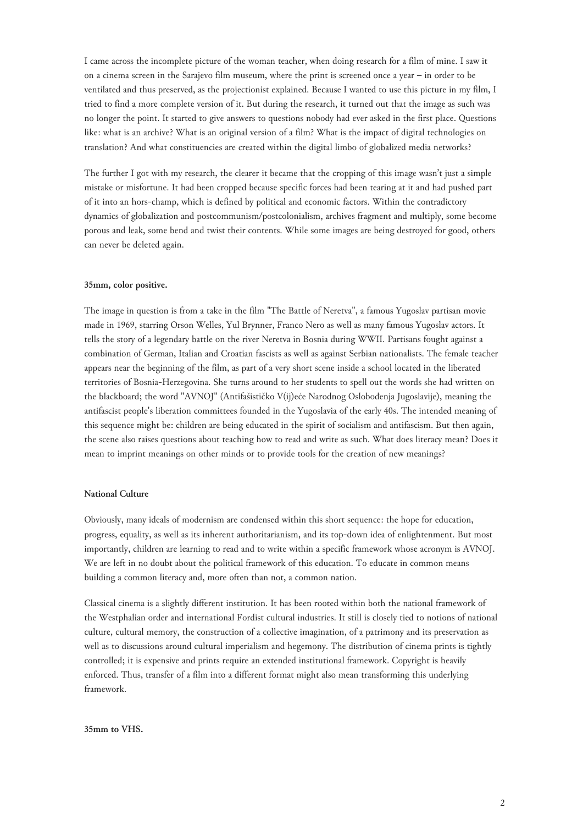I came across the incomplete picture of the woman teacher, when doing research for a film of mine. I saw it on a cinema screen in the Sarajevo film museum, where the print is screened once a year – in order to be ventilated and thus preserved, as the projectionist explained. Because I wanted to use this picture in my film, I tried to find a more complete version of it. But during the research, it turned out that the image as such was no longer the point. It started to give answers to questions nobody had ever asked in the first place. Questions like: what is an archive? What is an original version of a film? What is the impact of digital technologies on translation? And what constituencies are created within the digital limbo of globalized media networks?

The further I got with my research, the clearer it became that the cropping of this image wasn't just a simple mistake or misfortune. It had been cropped because specific forces had been tearing at it and had pushed part of it into an hors-champ, which is defined by political and economic factors. Within the contradictory dynamics of globalization and postcommunism/postcolonialism, archives fragment and multiply, some become porous and leak, some bend and twist their contents. While some images are being destroyed for good, others can never be deleted again.

### **35mm, color positive.**

The image in question is from a take in the film "The Battle of Neretva", a famous Yugoslav partisan movie made in 1969, starring Orson Welles, Yul Brynner, Franco Nero as well as many famous Yugoslav actors. It tells the story of a legendary battle on the river Neretva in Bosnia during WWII. Partisans fought against a combination of German, Italian and Croatian fascists as well as against Serbian nationalists. The female teacher appears near the beginning of the film, as part of a very short scene inside a school located in the liberated territories of Bosnia-Herzegovina. She turns around to her students to spell out the words she had written on the blackboard; the word "AVNOJ" (Antifašističko V(ij)eće Narodnog Oslobođenja Jugoslavije), meaning the antifascist people's liberation committees founded in the Yugoslavia of the early 40s. The intended meaning of this sequence might be: children are being educated in the spirit of socialism and antifascism. But then again, the scene also raises questions about teaching how to read and write as such. What does literacy mean? Does it mean to imprint meanings on other minds or to provide tools for the creation of new meanings?

#### **National Culture**

Obviously, many ideals of modernism are condensed within this short sequence: the hope for education, progress, equality, as well as its inherent authoritarianism, and its top-down idea of enlightenment. But most importantly, children are learning to read and to write within a specific framework whose acronym is AVNOJ. We are left in no doubt about the political framework of this education. To educate in common means building a common literacy and, more often than not, a common nation.

Classical cinema is a slightly different institution. It has been rooted within both the national framework of the Westphalian order and international Fordist cultural industries. It still is closely tied to notions of national culture, cultural memory, the construction of a collective imagination, of a patrimony and its preservation as well as to discussions around cultural imperialism and hegemony. The distribution of cinema prints is tightly controlled; it is expensive and prints require an extended institutional framework. Copyright is heavily enforced. Thus, transfer of a film into a different format might also mean transforming this underlying framework.

#### **35mm to VHS.**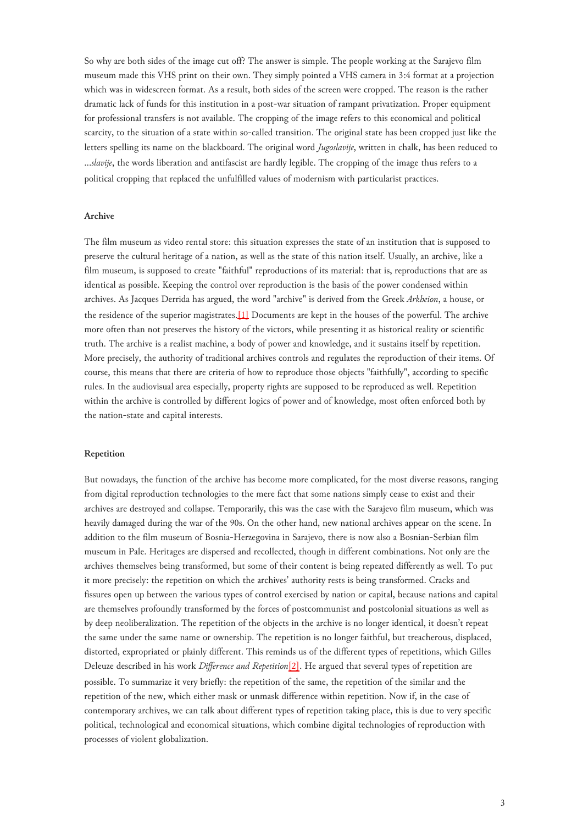So why are both sides of the image cut off? The answer is simple. The people working at the Sarajevo film museum made this VHS print on their own. They simply pointed a VHS camera in 3:4 format at a projection which was in widescreen format. As a result, both sides of the screen were cropped. The reason is the rather dramatic lack of funds for this institution in a post-war situation of rampant privatization. Proper equipment for professional transfers is not available. The cropping of the image refers to this economical and political scarcity, to the situation of a state within so-called transition. The original state has been cropped just like the letters spelling its name on the blackboard. The original word *Jugoslavije*, written in chalk, has been reduced to ...*slavije*, the words liberation and antifascist are hardly legible. The cropping of the image thus refers to a political cropping that replaced the unfulfilled values of modernism with particularist practices.

#### **Archive**

<span id="page-2-0"></span>The film museum as video rental store: this situation expresses the state of an institution that is supposed to preserve the cultural heritage of a nation, as well as the state of this nation itself. Usually, an archive, like a film museum, is supposed to create "faithful" reproductions of its material: that is, reproductions that are as identical as possible. Keeping the control over reproduction is the basis of the power condensed within archives. As Jacques Derrida has argued, the word "archive" is derived from the Greek *Arkheion*, a house, or the residence of the superior magistrates.[\[1\]](#page-6-0) Documents are kept in the houses of the powerful. The archive more often than not preserves the history of the victors, while presenting it as historical reality or scientific truth. The archive is a realist machine, a body of power and knowledge, and it sustains itself by repetition. More precisely, the authority of traditional archives controls and regulates the reproduction of their items. Of course, this means that there are criteria of how to reproduce those objects "faithfully", according to specific rules. In the audiovisual area especially, property rights are supposed to be reproduced as well. Repetition within the archive is controlled by different logics of power and of knowledge, most often enforced both by the nation-state and capital interests.

#### **Repetition**

<span id="page-2-1"></span>But nowadays, the function of the archive has become more complicated, for the most diverse reasons, ranging from digital reproduction technologies to the mere fact that some nations simply cease to exist and their archives are destroyed and collapse. Temporarily, this was the case with the Sarajevo film museum, which was heavily damaged during the war of the 90s. On the other hand, new national archives appear on the scene. In addition to the film museum of Bosnia-Herzegovina in Sarajevo, there is now also a Bosnian-Serbian film museum in Pale. Heritages are dispersed and recollected, though in different combinations. Not only are the archives themselves being transformed, but some of their content is being repeated differently as well. To put it more precisely: the repetition on which the archives' authority rests is being transformed. Cracks and fissures open up between the various types of control exercised by nation or capital, because nations and capital are themselves profoundly transformed by the forces of postcommunist and postcolonial situations as well as by deep neoliberalization. The repetition of the objects in the archive is no longer identical, it doesn't repeat the same under the same name or ownership. The repetition is no longer faithful, but treacherous, displaced, distorted, expropriated or plainly different. This reminds us of the different types of repetitions, which Gilles Deleuze described in his work *Difference and Repetition*[\[2\].](#page-6-1) He argued that several types of repetition are possible. To summarize it very briefly: the repetition of the same, the repetition of the similar and the repetition of the new, which either mask or unmask difference within repetition. Now if, in the case of contemporary archives, we can talk about different types of repetition taking place, this is due to very specific political, technological and economical situations, which combine digital technologies of reproduction with processes of violent globalization.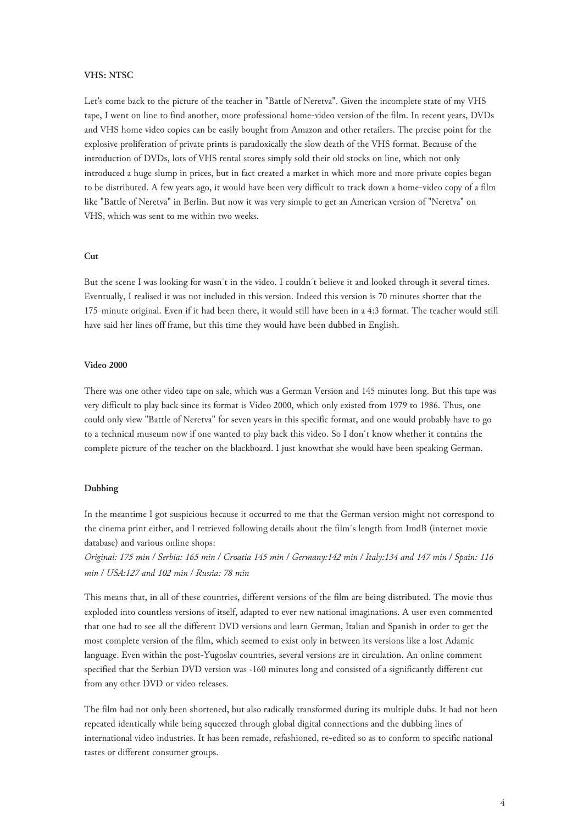### **VHS: NTSC**

Let's come back to the picture of the teacher in "Battle of Neretva". Given the incomplete state of my VHS tape, I went on line to find another, more professional home-video version of the film. In recent years, DVDs and VHS home video copies can be easily bought from Amazon and other retailers. The precise point for the explosive proliferation of private prints is paradoxically the slow death of the VHS format. Because of the introduction of DVDs, lots of VHS rental stores simply sold their old stocks on line, which not only introduced a huge slump in prices, but in fact created a market in which more and more private copies began to be distributed. A few years ago, it would have been very difficult to track down a home-video copy of a film like "Battle of Neretva" in Berlin. But now it was very simple to get an American version of "Neretva" on VHS, which was sent to me within two weeks.

## **Cut**

But the scene I was looking for wasn´t in the video. I couldn´t believe it and looked through it several times. Eventually, I realised it was not included in this version. Indeed this version is 70 minutes shorter that the 175-minute original. Even if it had been there, it would still have been in a 4:3 format. The teacher would still have said her lines off frame, but this time they would have been dubbed in English.

#### **Video 2000**

There was one other video tape on sale, which was a German Version and 145 minutes long. But this tape was very difficult to play back since its format is Video 2000, which only existed from 1979 to 1986. Thus, one could only view "Battle of Neretva" for seven years in this specific format, and one would probably have to go to a technical museum now if one wanted to play back this video. So I don´t know whether it contains the complete picture of the teacher on the blackboard. I just knowthat she would have been speaking German.

### **Dubbing**

In the meantime I got suspicious because it occurred to me that the German version might not correspond to the cinema print either, and I retrieved following details about the film´s length from ImdB (internet movie database) and various online shops:

*Original: 175 min / Serbia: 165 min / Croatia 145 min / Germany:142 min / Italy:134 and 147 min / Spain: 116 min / USA:127 and 102 min / Russia: 78 min*

This means that, in all of these countries, different versions of the film are being distributed. The movie thus exploded into countless versions of itself, adapted to ever new national imaginations. A user even commented that one had to see all the different DVD versions and learn German, Italian and Spanish in order to get the most complete version of the film, which seemed to exist only in between its versions like a lost Adamic language. Even within the post-Yugoslav countries, several versions are in circulation. An online comment specified that the Serbian DVD version was ~160 minutes long and consisted of a significantly different cut from any other DVD or video releases.

The film had not only been shortened, but also radically transformed during its multiple dubs. It had not been repeated identically while being squeezed through global digital connections and the dubbing lines of international video industries. It has been remade, refashioned, re-edited so as to conform to specific national tastes or different consumer groups.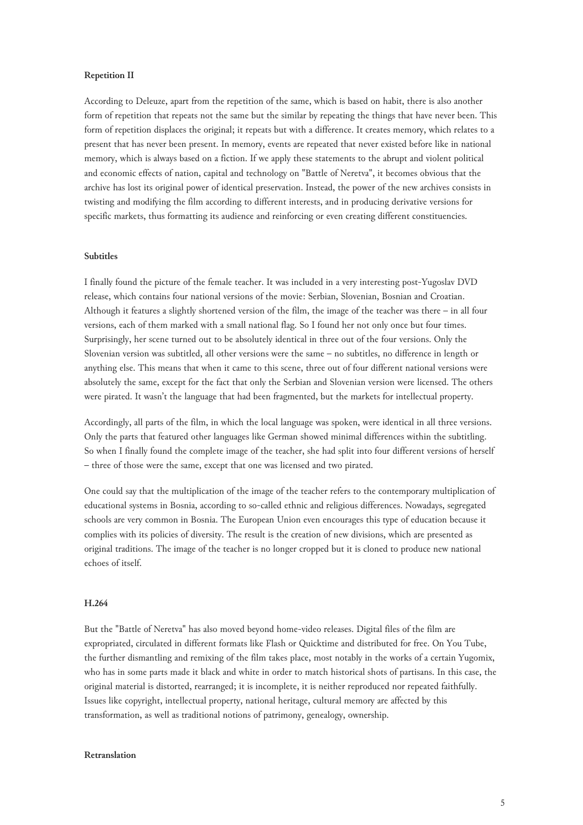#### **Repetition II**

According to Deleuze, apart from the repetition of the same, which is based on habit, there is also another form of repetition that repeats not the same but the similar by repeating the things that have never been. This form of repetition displaces the original; it repeats but with a difference. It creates memory, which relates to a present that has never been present. In memory, events are repeated that never existed before like in national memory, which is always based on a fiction. If we apply these statements to the abrupt and violent political and economic effects of nation, capital and technology on "Battle of Neretva", it becomes obvious that the archive has lost its original power of identical preservation. Instead, the power of the new archives consists in twisting and modifying the film according to different interests, and in producing derivative versions for specific markets, thus formatting its audience and reinforcing or even creating different constituencies.

## **Subtitles**

I finally found the picture of the female teacher. It was included in a very interesting post-Yugoslav DVD release, which contains four national versions of the movie: Serbian, Slovenian, Bosnian and Croatian. Although it features a slightly shortened version of the film, the image of the teacher was there – in all four versions, each of them marked with a small national flag. So I found her not only once but four times. Surprisingly, her scene turned out to be absolutely identical in three out of the four versions. Only the Slovenian version was subtitled, all other versions were the same – no subtitles, no difference in length or anything else. This means that when it came to this scene, three out of four different national versions were absolutely the same, except for the fact that only the Serbian and Slovenian version were licensed. The others were pirated. It wasn't the language that had been fragmented, but the markets for intellectual property.

Accordingly, all parts of the film, in which the local language was spoken, were identical in all three versions. Only the parts that featured other languages like German showed minimal differences within the subtitling. So when I finally found the complete image of the teacher, she had split into four different versions of herself – three of those were the same, except that one was licensed and two pirated.

One could say that the multiplication of the image of the teacher refers to the contemporary multiplication of educational systems in Bosnia, according to so-called ethnic and religious differences. Nowadays, segregated schools are very common in Bosnia. The European Union even encourages this type of education because it complies with its policies of diversity. The result is the creation of new divisions, which are presented as original traditions. The image of the teacher is no longer cropped but it is cloned to produce new national echoes of itself.

#### **H.264**

But the "Battle of Neretva" has also moved beyond home-video releases. Digital files of the film are expropriated, circulated in different formats like Flash or Quicktime and distributed for free. On You Tube, the further dismantling and remixing of the film takes place, most notably in the works of a certain Yugomix, who has in some parts made it black and white in order to match historical shots of partisans. In this case, the original material is distorted, rearranged; it is incomplete, it is neither reproduced nor repeated faithfully. Issues like copyright, intellectual property, national heritage, cultural memory are affected by this transformation, as well as traditional notions of patrimony, genealogy, ownership.

## **Retranslation**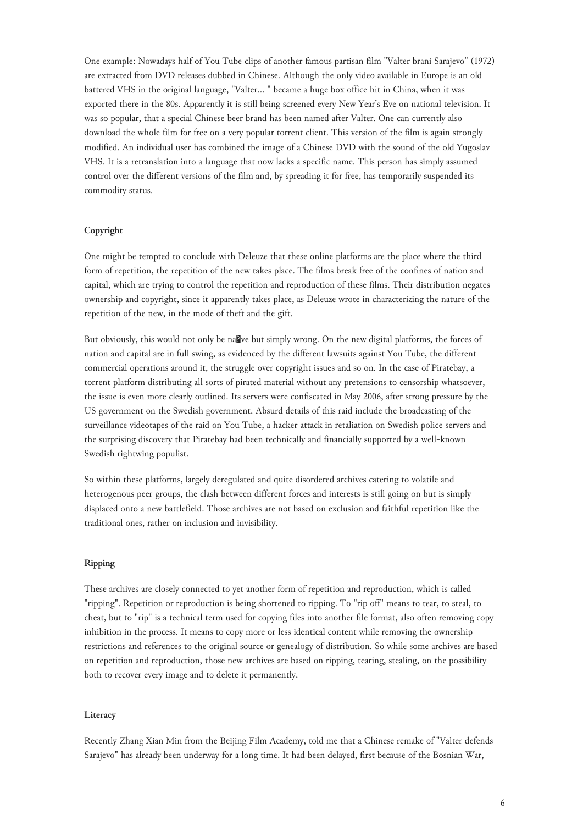One example: Nowadays half of You Tube clips of another famous partisan film "Valter brani Sarajevo" (1972) are extracted from DVD releases dubbed in Chinese. Although the only video available in Europe is an old battered VHS in the original language, "Valter... " became a huge box office hit in China, when it was exported there in the 80s. Apparently it is still being screened every New Year's Eve on national television. It was so popular, that a special Chinese beer brand has been named after Valter. One can currently also download the whole film for free on a very popular torrent client. This version of the film is again strongly modified. An individual user has combined the image of a Chinese DVD with the sound of the old Yugoslav VHS. It is a retranslation into a language that now lacks a specific name. This person has simply assumed control over the different versions of the film and, by spreading it for free, has temporarily suspended its commodity status.

### **Copyright**

One might be tempted to conclude with Deleuze that these online platforms are the place where the third form of repetition, the repetition of the new takes place. The films break free of the confines of nation and capital, which are trying to control the repetition and reproduction of these films. Their distribution negates ownership and copyright, since it apparently takes place, as Deleuze wrote in characterizing the nature of the repetition of the new, in the mode of theft and the gift.

But obviously, this would not only be nakve but simply wrong. On the new digital platforms, the forces of nation and capital are in full swing, as evidenced by the different lawsuits against You Tube, the different commercial operations around it, the struggle over copyright issues and so on. In the case of Piratebay, a torrent platform distributing all sorts of pirated material without any pretensions to censorship whatsoever, the issue is even more clearly outlined. Its servers were confiscated in May 2006, after strong pressure by the US government on the Swedish government. Absurd details of this raid include the broadcasting of the surveillance videotapes of the raid on You Tube, a hacker attack in retaliation on Swedish police servers and the surprising discovery that Piratebay had been technically and financially supported by a well-known Swedish rightwing populist.

So within these platforms, largely deregulated and quite disordered archives catering to volatile and heterogenous peer groups, the clash between different forces and interests is still going on but is simply displaced onto a new battlefield. Those archives are not based on exclusion and faithful repetition like the traditional ones, rather on inclusion and invisibility.

## **Ripping**

These archives are closely connected to yet another form of repetition and reproduction, which is called "ripping". Repetition or reproduction is being shortened to ripping. To "rip off" means to tear, to steal, to cheat, but to "rip" is a technical term used for copying files into another file format, also often removing copy inhibition in the process. It means to copy more or less identical content while removing the ownership restrictions and references to the original source or genealogy of distribution. So while some archives are based on repetition and reproduction, those new archives are based on ripping, tearing, stealing, on the possibility both to recover every image and to delete it permanently.

#### **Literacy**

Recently Zhang Xian Min from the Beijing Film Academy, told me that a Chinese remake of "Valter defends Sarajevo" has already been underway for a long time. It had been delayed, first because of the Bosnian War,